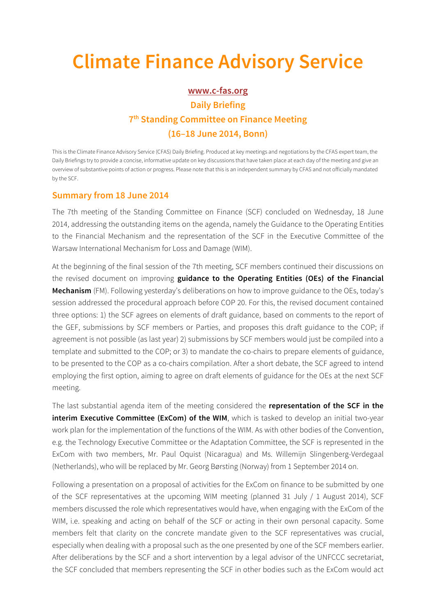## **Climate Finance Advisory Service**

## **www.c-fas.org**

## **Daily Briefing 7th Standing Committee on Finance Meeting (16–18 June 2014, Bonn)**

This is the Climate Finance Advisory Service (CFAS) Daily Briefing. Produced at key meetings and negotiations by the CFAS expert team, the Daily Briefings try to provide a concise, informative update on key discussions that have taken place at each day of the meeting and give an overview of substantive points of action or progress. Please note that this is an independent summary by CFAS and not officially mandated by the SCF.

## **Summary from 18 June 2014**

The 7th meeting of the Standing Committee on Finance (SCF) concluded on Wednesday, 18 June 2014, addressing the outstanding items on the agenda, namely the Guidance to the Operating Entities to the Financial Mechanism and the representation of the SCF in the Executive Committee of the Warsaw International Mechanism for Loss and Damage (WIM).

At the beginning of the final session of the 7th meeting, SCF members continued their discussions on the revised document on improving **guidance to the Operating Entities (OEs) of the Financial Mechanism** (FM). Following yesterday's deliberations on how to improve guidance to the OEs, today's session addressed the procedural approach before COP 20. For this, the revised document contained three options: 1) the SCF agrees on elements of draft guidance, based on comments to the report of the GEF, submissions by SCF members or Parties, and proposes this draft guidance to the COP; if agreement is not possible (as last year) 2) submissions by SCF members would just be compiled into a template and submitted to the COP; or 3) to mandate the co-chairs to prepare elements of guidance, to be presented to the COP as a co-chairs compilation. After a short debate, the SCF agreed to intend employing the first option, aiming to agree on draft elements of guidance for the OEs at the next SCF meeting.

The last substantial agenda item of the meeting considered the **representation of the SCF in the interim Executive Committee (ExCom) of the WIM**, which is tasked to develop an initial two-year work plan for the implementation of the functions of the WIM. As with other bodies of the Convention, e.g. the Technology Executive Committee or the Adaptation Committee, the SCF is represented in the ExCom with two members, Mr. Paul Oquist (Nicaragua) and Ms. Willemijn Slingenberg-Verdegaal (Netherlands), who will be replaced by Mr. Georg Børsting (Norway) from 1 September 2014 on.

Following a presentation on a proposal of activities for the ExCom on finance to be submitted by one of the SCF representatives at the upcoming WIM meeting (planned 31 July / 1 August 2014), SCF members discussed the role which representatives would have, when engaging with the ExCom of the WIM, i.e. speaking and acting on behalf of the SCF or acting in their own personal capacity. Some members felt that clarity on the concrete mandate given to the SCF representatives was crucial, especially when dealing with a proposal such as the one presented by one of the SCF members earlier. After deliberations by the SCF and a short intervention by a legal advisor of the UNFCCC secretariat, the SCF concluded that members representing the SCF in other bodies such as the ExCom would act